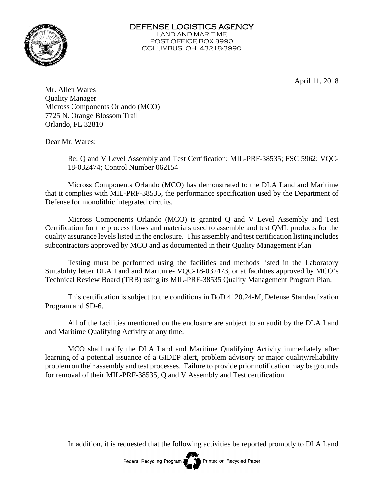

April 11, 2018

Mr. Allen Wares Quality Manager Micross Components Orlando (MCO) 7725 N. Orange Blossom Trail Orlando, FL 32810

Dear Mr. Wares:

Re: Q and V Level Assembly and Test Certification; MIL-PRF-38535; FSC 5962; VQC-18-032474; Control Number 062154

Micross Components Orlando (MCO) has demonstrated to the DLA Land and Maritime that it complies with MIL-PRF-38535, the performance specification used by the Department of Defense for monolithic integrated circuits.

Micross Components Orlando (MCO) is granted Q and V Level Assembly and Test Certification for the process flows and materials used to assemble and test QML products for the quality assurance levels listed in the enclosure. This assembly and test certification listing includes subcontractors approved by MCO and as documented in their Quality Management Plan.

Testing must be performed using the facilities and methods listed in the Laboratory Suitability letter DLA Land and Maritime- VQC-18-032473, or at facilities approved by MCO's Technical Review Board (TRB) using its MIL-PRF-38535 Quality Management Program Plan.

This certification is subject to the conditions in DoD 4120.24-M, Defense Standardization Program and SD-6.

All of the facilities mentioned on the enclosure are subject to an audit by the DLA Land and Maritime Qualifying Activity at any time.

MCO shall notify the DLA Land and Maritime Qualifying Activity immediately after learning of a potential issuance of a GIDEP alert, problem advisory or major quality/reliability problem on their assembly and test processes. Failure to provide prior notification may be grounds for removal of their MIL-PRF-38535, Q and V Assembly and Test certification.

In addition, it is requested that the following activities be reported promptly to DLA Land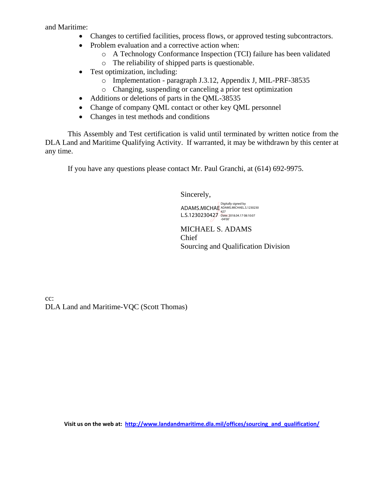and Maritime:

- Changes to certified facilities, process flows, or approved testing subcontractors.
- Problem evaluation and a corrective action when:
	- o A Technology Conformance Inspection (TCI) failure has been validated
	- o The reliability of shipped parts is questionable.
- Test optimization, including:
	- o Implementation paragraph J.3.12, Appendix J, MIL-PRF-38535
	- o Changing, suspending or canceling a prior test optimization
- Additions or deletions of parts in the QML-38535
- Change of company QML contact or other key QML personnel
- Changes in test methods and conditions

This Assembly and Test certification is valid until terminated by written notice from the DLA Land and Maritime Qualifying Activity. If warranted, it may be withdrawn by this center at any time.

If you have any questions please contact Mr. Paul Granchi, at (614) 692-9975.

Sincerely,

Digitally signed by<br>ADAMS.MICHAE ADAMS.MICHAEL.S.1230230 L.S.1230230427 Date: 2018.04.17 08:10:07 -04'00'

MICHAEL S. ADAMS Chief Sourcing and Qualification Division

cc: DLA Land and Maritime-VQC (Scott Thomas)

**Visit us on the web at: [http://www.landandmaritime.dla.mil/offices/sourcing\\_and\\_qualification/](http://www.landandmaritime.dla.mil/offices/sourcing_and_qualification/)**